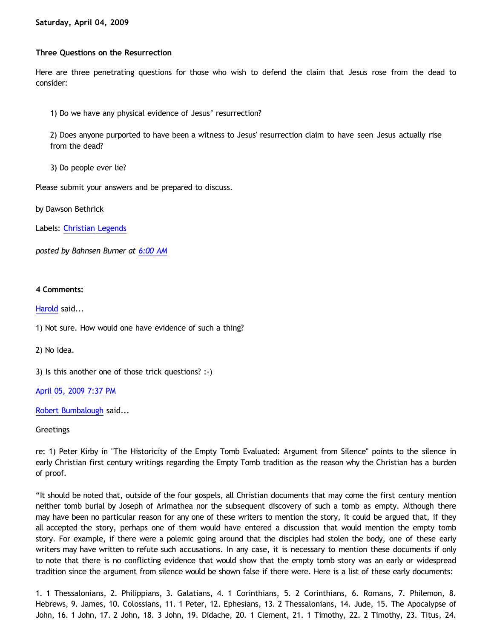**Three Questions on the Resurrection**

Here are three penetrating questions for those who wish to defend the claim that Jesus rose from the dead to consider:

1) Do we have any physical evidence of Jesus' resurrection?

2) Does anyone purported to have been a witness to Jesus' resurrection claim to have seen Jesus actually rise from the dead?

3) Do people ever lie?

Please submit your answers and be prepared to discuss.

by Dawson Bethrick

Labels: [Christian Legends](http://bahnsenburner.blogspot.com/search/label/Christian%20Legends)

*posted by Bahnsen Burner at [6:00 AM](http://bahnsenburner.blogspot.com/2009/04/three-questions-on-resurrection.html)*

## **4 Comments:**

[Harold](http://www.blogger.com/profile/10897769844874861468) said...

1) Not sure. How would one have evidence of such a thing?

2) No idea.

3) Is this another one of those trick questions? :-)

[April 05, 2009 7:37 PM](http://bahnsenburner.blogspot.com/2009/04/3515886895776597456)

[Robert Bumbalough](http://www.blogger.com/profile/03469718358131331499) said...

Greetings

re: 1) Peter Kirby in "The Historicity of the Empty Tomb Evaluated: Argument from Silence" points to the silence in early Christian first century writings regarding the Empty Tomb tradition as the reason why the Christian has a burden of proof.

"It should be noted that, outside of the four gospels, all Christian documents that may come the first century mention neither tomb burial by Joseph of Arimathea nor the subsequent discovery of such a tomb as empty. Although there may have been no particular reason for any one of these writers to mention the story, it could be argued that, if they all accepted the story, perhaps one of them would have entered a discussion that would mention the empty tomb story. For example, if there were a polemic going around that the disciples had stolen the body, one of these early writers may have written to refute such accusations. In any case, it is necessary to mention these documents if only to note that there is no conflicting evidence that would show that the empty tomb story was an early or widespread tradition since the argument from silence would be shown false if there were. Here is a list of these early documents:

1. 1 Thessalonians, 2. Philippians, 3. Galatians, 4. 1 Corinthians, 5. 2 Corinthians, 6. Romans, 7. Philemon, 8. Hebrews, 9. James, 10. Colossians, 11. 1 Peter, 12. Ephesians, 13. 2 Thessalonians, 14. Jude, 15. The Apocalypse of John, 16. 1 John, 17. 2 John, 18. 3 John, 19. Didache, 20. 1 Clement, 21. 1 Timothy, 22. 2 Timothy, 23. Titus, 24.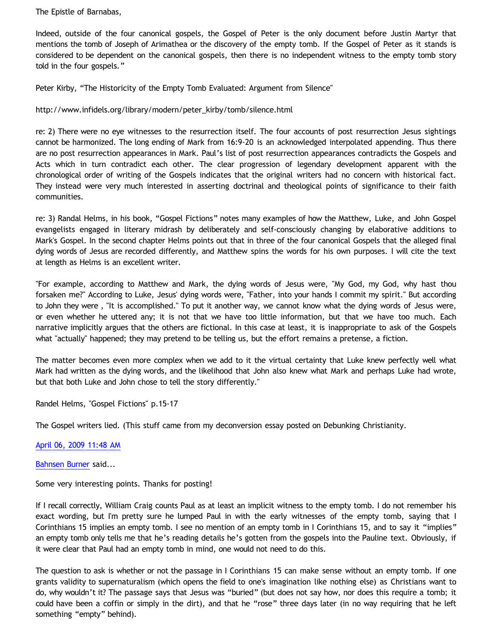The Epistle of Barnabas,

Indeed, outside of the four canonical gospels, the Gospel of Peter is the only document before Justin Martyr that mentions the tomb of Joseph of Arimathea or the discovery of the empty tomb. If the Gospel of Peter as it stands is considered to be dependent on the canonical gospels, then there is no independent witness to the empty tomb story told in the four gospels."

Peter Kirby, "The Historicity of the Empty Tomb Evaluated: Argument from Silence"

[http://www.infidels.org/library/modern/peter\\_kirby/tomb/silence.html](http://www.infidels.org/library/modern/peter_kirby/tomb/silence.html)

re: 2) There were no eye witnesses to the resurrection itself. The four accounts of post resurrection Jesus sightings cannot be harmonized. The long ending of Mark from 16:9-20 is an acknowledged interpolated appending. Thus there are no post resurrection appearances in Mark. Paul's list of post resurrection appearances contradicts the Gospels and Acts which in turn contradict each other. The clear progression of legendary development apparent with the chronological order of writing of the Gospels indicates that the original writers had no concern with historical fact. They instead were very much interested in asserting doctrinal and theological points of significance to their faith communities.

re: 3) Randal Helms, in his book, "Gospel Fictions" notes many examples of how the Matthew, Luke, and John Gospel evangelists engaged in literary midrash by deliberately and self-consciously changing by elaborative additions to Mark's Gospel. In the second chapter Helms points out that in three of the four canonical Gospels that the alleged final dying words of Jesus are recorded differently, and Matthew spins the words for his own purposes. I will cite the text at length as Helms is an excellent writer.

"For example, according to Matthew and Mark, the dying words of Jesus were, "My God, my God, why hast thou forsaken me?" According to Luke, Jesus' dying words were, "Father, into your hands I commit my spirit." But according to John they were , "It is accomplished." To put it another way, we cannot know what the dying words of Jesus were, or even whether he uttered any; it is not that we have too little information, but that we have too much. Each narrative implicitly argues that the others are fictional. In this case at least, it is inappropriate to ask of the Gospels what "actually" happened; they may pretend to be telling us, but the effort remains a pretense, a fiction.

The matter becomes even more complex when we add to it the virtual certainty that Luke knew perfectly well what Mark had written as the dying words, and the likelihood that John also knew what Mark and perhaps Luke had wrote, but that both Luke and John chose to tell the story differently."

Randel Helms, "Gospel Fictions" p.15-17

The Gospel writers lied. (This stuff came from my deconversion essay posted on Debunking Christianity.

[April 06, 2009 11:48 AM](http://bahnsenburner.blogspot.com/2009/04/8077016966525345861)

[Bahnsen Burner](http://www.blogger.com/profile/11030029491768748360) said...

Some very interesting points. Thanks for posting!

If I recall correctly, William Craig counts Paul as at least an implicit witness to the empty tomb. I do not remember his exact wording, but I'm pretty sure he lumped Paul in with the early witnesses of the empty tomb, saying that I Corinthians 15 implies an empty tomb. I see no mention of an empty tomb in I Corinthians 15, and to say it "implies" an empty tomb only tells me that he's reading details he's gotten from the gospels into the Pauline text. Obviously, if it were clear that Paul had an empty tomb in mind, one would not need to do this.

The question to ask is whether or not the passage in I Corinthians 15 can make sense without an empty tomb. If one grants validity to supernaturalism (which opens the field to one's imagination like nothing else) as Christians want to do, why wouldn't it? The passage says that Jesus was "buried" (but does not say how, nor does this require a tomb; it could have been a coffin or simply in the dirt), and that he "rose" three days later (in no way requiring that he left something "empty" behind).